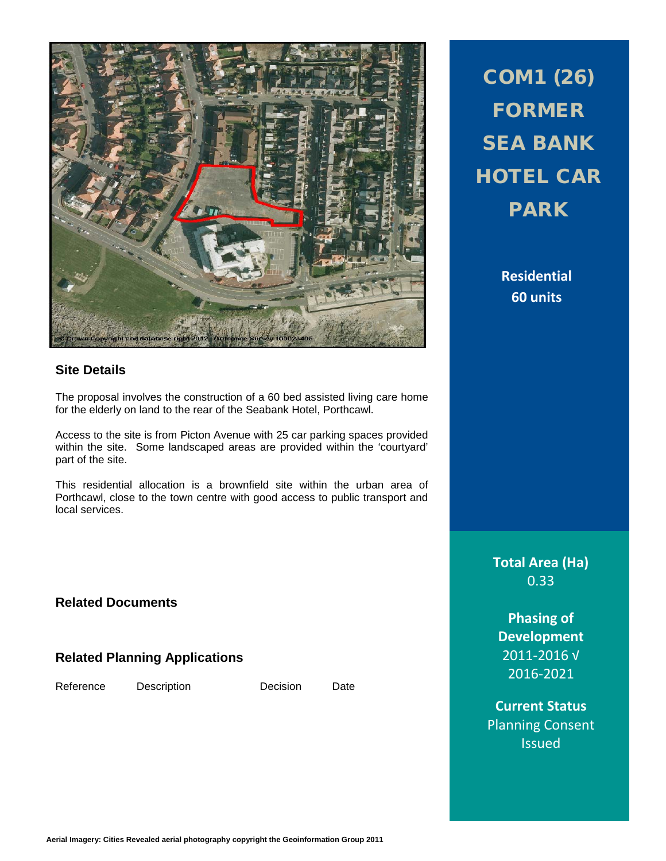

#### **Site Details**

The proposal involves the construction of a 60 bed assisted living care home for the elderly on land to the rear of the Seabank Hotel, Porthcawl.

Access to the site is from Picton Avenue with 25 car parking spaces provided within the site. Some landscaped areas are provided within the 'courtyard' part of the site.

This residential allocation is a brownfield site within the urban area of Porthcawl, close to the town centre with good access to public transport and local services.

**Related Documents**

**Related Planning Applications**

Reference Description Decision Date

COM1 (26) FORMER SEA BANK HOTEL CAR PARK

> **Residential 60 units**

**Total Area (Ha)** 0.33

**Phasing of Development** 2011-2016 √ 2016-2021

**Current Status** Planning Consent Issued